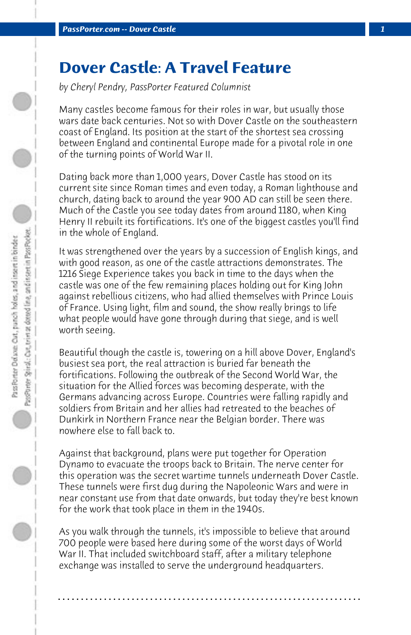## **Dover Castle: A Travel Feature**

*by Cheryl Pendry, PassPorter Featured Columnist*

Many castles become famous for their roles in war, but usually those wars date back centuries. Not so with Dover Castle on the southeastern coast of England. Its position at the start of the shortest sea crossing between England and continental Europe made for a pivotal role in one of the turning points of World War II.

Dating back more than 1,000 years, Dover Castle has stood on its current site since Roman times and even today, a Roman lighthouse and church, dating back to around the year 900 AD can still be seen there. Much of the Castle you see today dates from around 1180, when King Henry II rebuilt its fortifications. It's one of the biggest castles you'll find in the whole of England.

It was strengthened over the years by a succession of English kings, and with good reason, as one of the castle attractions demonstrates. The 1216 Siege Experience takes you back in time to the days when the castle was one of the few remaining places holding out for King John against rebellious citizens, who had allied themselves with Prince Louis of France. Using light, film and sound, the show really brings to life what people would have gone through during that siege, and is well worth seeing.

Beautiful though the castle is, towering on a hill above Dover, England's busiest sea port, the real attraction is buried far beneath the fortifications. Following the outbreak of the Second World War, the situation for the Allied forces was becoming desperate, with the Germans advancing across Europe. Countries were falling rapidly and soldiers from Britain and her allies had retreated to the beaches of Dunkirk in Northern France near the Belgian border. There was nowhere else to fall back to.

Against that background, plans were put together for Operation Dynamo to evacuate the troops back to Britain. The nerve center for this operation was the secret wartime tunnels underneath Dover Castle. These tunnels were first dug during the Napoleonic Wars and were in near constant use from that date onwards, but today they're best known for the work that took place in them in the 1940s.

As you walk through the tunnels, it's impossible to believe that around 700 people were based here during some of the worst days of World War II. That included switchboard staff, after a military telephone exchange was installed to serve the underground headquarters.

**. . . . . . . . . . . . . . . . . . . . . . . . . . . . . . . . . . . . . . . . . . . . . . . . . . . . . . . . . . . . . . . . . .**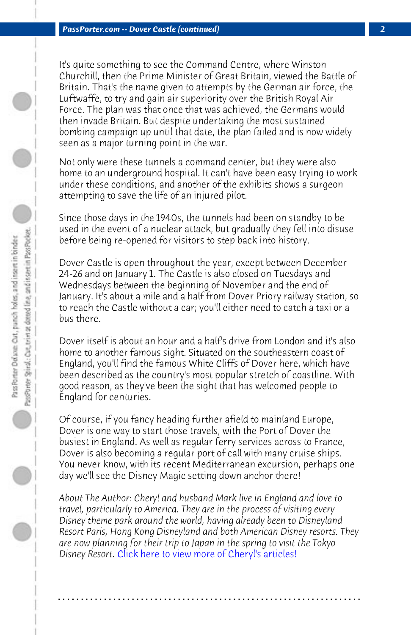*PassPorter.com -- Dover Castle (continued) 2*

It's quite something to see the Command Centre, where Winston Churchill, then the Prime Minister of Great Britain, viewed the Battle of Britain. That's the name given to attempts by the German air force, the Luftwaffe, to try and gain air superiority over the British Royal Air Force. The plan was that once that was achieved, the Germans would then invade Britain. But despite undertaking the most sustained bombing campaign up until that date, the plan failed and is now widely seen as a major turning point in the war.

Not only were these tunnels a command center, but they were also home to an underground hospital. It can't have been easy trying to work under these conditions, and another of the exhibits shows a surgeon attempting to save the life of an injured pilot.

Since those days in the 1940s, the tunnels had been on standby to be used in the event of a nuclear attack, but gradually they fell into disuse before being re-opened for visitors to step back into history.

Dover Castle is open throughout the year, except between December 24-26 and on January 1. The Castle is also closed on Tuesdays and Wednesdays between the beginning of November and the end of January. It's about a mile and a half from Dover Priory railway station, so to reach the Castle without a car; you'll either need to catch a taxi or a bus there.

Dover itself is about an hour and a half's drive from London and it's also home to another famous sight. Situated on the southeastern coast of England, you'l[l find the famous White Cliffs of Dover here](http://www.passporter.com/articles/cheryl-pendry-featured-columnist.asp), which have been described as the country's most popular stretch of coastline. With good reason, as they've been the sight that has welcomed people to England for centuries.

Of course, if you fancy heading further afield to mainland Europe, Dover is one way to start those travels, with the Port of Dover the busiest in England. As well as regular ferry services across to France, Dover is also becoming a regular port of call with many cruise ships. You never know, with its recent Mediterranean excursion, perhaps one day we'll see the Disney Magic setting down anchor there!

*About The Author: Cheryl and husband Mark live in England and love to travel, particularly to America. They are in the process of visiting every Disney theme park around the world, having already been to Disneyland Resort Paris, Hong Kong Disneyland and both American Disney resorts. They are now planning for their trip to Japan in the spring to visit the Tokyo Disney Resort.* Click here to view more of Cheryl's articles!

**. . . . . . . . . . . . . . . . . . . . . . . . . . . . . . . . . . . . . . . . . . . . . . . . . . . . . . . . . . . . . . . . . .**